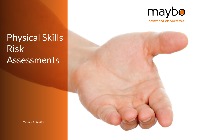

positive and safer outcomes

# Physical Skills Risk Assessments

**Maybo Physical Skills Risk Assessments**

Version 3.2 – 09/2021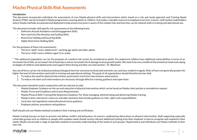### **Introduction**

This document incorporates individual risk assessments of core Maybo physical skills and interventions which, based on a risk and needs approach and Training Needs Analysis (TNA), may be included in Maybo programmes covering adults or children. It provides a valuable resource to employers/services, trainers, staff and key stakeholders where Maybo methods are planned and deployed to help ensure everyone is aware of the related risks and how they can be reduced, both in training and operational use.

This document includes skill specific risk assessments at the following levels:

- Defensive Assault Avoidance and Disengagement Skills;
- Non-restrictive Re-direction and Guiding Skills;
- **Restrictive Holding and Escorting Skills;**
- **Highly Restrictive Holding Skills.**

For the purposes of these risk assessments:

- The term 'adult' covers adolescents<sup>\*</sup>, working age adults and older adults;
- The term 'child' covers children aged 12 or under.

\* "The adolescent population can, for the purposes of a medical risk review, be considered as adults. Pre-pubescent children have additional vulnerabilities in terms of an increased risk of falls, an increased risk of head injury and an increased risk of damage to bony growth plates. We need to be very mindful of the emotional needs and coping strategies of children (and adolescents) and support them during and after any intervention." Dr. Bleetman

Any use of force carries risk of physical and psychological harm for everyone involved and restraints can, and have, ended in tragedy. Risks of harm are generally greater the higher the level of intervention used, both in training and operational settings. The goals of all organisations should therefore be two-fold:

- 1. To reduce the need for physical intervention, particularly restrictive interventions and practices
- 2. To reduce risk when such interventions are necessary through effective training, guidance and supervision

This document should be read in conjunction with (as relevant to role):

- Maybo Employer Guidance on the use and reduction of physical intervention which can be found on Maybo client portals or provided on request;
- Maybo Terms and Conditions and Licence Requirements;
- Maybo Physical Skills Training Risk Reduction Guidance: For those managing, administrating and delivering Maybo training;
- Maybo trainer and learner resources and aide-memoires that include guidance on risks, rights and responsibilities;
- Local laws and regulations and professional/sector guidance:
- Employer policies, procedures and guidance.

Staff should only use Maybo methods included in their training and certification.

Maybo training focuses on how to prevent and defuse conflict and behaviours of concern, emphasising alternatives to physical intervention. Staff supporting especially vulnerable groups such as children or people with complex needs should receive relevant additional training from their employer in how to recognise and respond to their needs. Maybo can provide a range of specialist modules to promote understanding of the needs of such groups. Organisations and individuals use Maybo methods at their own risk.

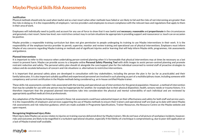### **Justification**

Physical methods should only be used when lawful and as a last resort when other methods have failed or are likely to fail and the risks of not intervening are greater than the risks in doing so. It is the responsibility of employers / service providers and employees to ensure compliance with the relevant laws and regulations that apply to them in their area of work.

Employees will individually need to justify and account for any use of force to show that it was lawful and **necessary**, **reasonable** and **proportionate** in the circumstances and genuinely a last resort. Some low-level, non-restrictive contact may in certain situations be appropriate in providing support and reassurance i.e. touch can on occasion be positive.

Maybo provides a responsible training curriculum but does not give permission to people undergoing its training to use Maybo interventions in their work. It is the responsibility of the employer/service provider to permit, supervise, monitor and review training and operational use of physical interventions. Employers must inform Maybo of any concerns regarding Maybo training or methods and of significant injuries and/or learning that will help inform Maybo skills, programmes, risk assessments and guidance.

### **Planned Interventions**

It is important to refer to this resource when undertaking person-centred planning when it is foreseeable that physical interventions may at times be necessary as a last resort to prevent harm. Maybo can provide access to a bespoke online **Personal Safety Planning Tool** with skills images to assist person-centred planning and promote restraint reduction and safety. The personal safety plan should sit alongside the care/support plan for the individual concerned to remind staff of proactive strategies to reduce and de-escalate behaviours of concern and risk situations i.e. alternatives to restrictive interventions.

It is important that personal safety plans are developed in consultation with key stakeholders, including the person the plan is for (as far as practicable) and their family/advocates. It is also important suitably qualified and experienced personnel are involved in such planning as part of a multidisciplinary team, including someone with competency and current certification in the Maybo methods being considered e.g. an in-house certified Maybo trainer.

These skills risk assessments consider risks associated with the training and operational use of interventions for the general population. However, a method of intervention that may be suitable for use with one person may be inappropriate for another, for example due to their physical disposition, health, sensory needs or trauma history. It is therefore important that the proposed planned interventions take into consideration the physical and mental vulnerability of each individual and are reviewed by appropriately qualified medical/clinical professionals.

Any adaptation of the Maybo techniques covered in these risk assessments could have substantial impact on their effectiveness and safety for both staff and service users. It is the responsibility of employers and services supporting the use of Maybo methods to ensure their trainers and operational staff are kept up to date with latest Maybo risk assessments and risk reduction guidance, which are made available in Programme Specifications, Trainer Resources, the Resource Centre on the Maybo website and upon request.

### **Recognising Heightened Injury Risks**

Most injury data Maybo can access relates to injuries on training courses delivered direct by Maybo trainers. We do not have a full picture of workplace incidents, however, risks and outcomes are likely to be magnified in a turbulent operational situation, especially if the fidelity of a technique is compromised e.g. due to poor skill application or a lack of Maybo trained staff available.

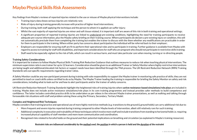Key findings from Maybo's reviews of reported injuries related to the use or misuse of Maybo physical interventions include:

- **E** Training injury data shows serious injuries are relatively rare:
- **E** Risks of injury during training generally increase with practice of higher-level interventions;
- During training, both staff applying the technique and the person to whom it is applied can suffer injury;
- Whilst the vast majority of reported injuries are minor and soft tissue related, it is important staff are aware of this risk in both training and operational settings;
- **•** A significant proportion of reported training injuries are linked to undeclared pre-existing conditions, highlighting the need for training participants to receive adequate pre-course information, plus the Maybo safety briefing on their training course. Where participants do declare a pre-existing injury or condition, this will not automatically preclude them from completing the training but enables the trainer to discuss with the them whether any modifications are practicable in order for them to participate in the training. Where either party has concerns about participation the individual will be referred back to their employer;
- Employers are responsible for ensuring staff are fit to perform their operational roles and to participate in training. Further guidance is available from Maybo with regard to access to training for staff with disabilities, and important considerations for staff who are pregnant who should not participate in restrictive skills training;
- Staff need to be especially vigilant to the risk of falls, which can result in serious harm, and must take particular care when moving, turning or re-directing people.

### **Training Safety Considerations**

It is important for trainers to follow Maybo Physical Skills Training Risk Reduction Guidance that outlines measures to reduce risk when teaching physical interventions. The minimum supervision ratio is one trainer for up to 12 learners. Consideration should be given to an additional Trainer or Safety Monitor where highly restrictive interventions are being taught and additional/elevated risk factors or support needs have been identified through the TNA process. The UK Restraint Reduction Network (RRN) Training Standards sets out specific requirements regarding trainer ratios.

A Safety Monitor could be any non-participant present during training with sole responsibility to support the Maybo trainer in monitoring safe practice of skills; they are not permitted to teach or coach skills unless certified to do so by Maybo. The Maybo Trainer leading the training is responsible for briefing the Safety Monitor on safety and risk considerations, including what to look out for and how to alert participants and/or the trainer of safety concerns.

UK Restraint Reduction Network Training Standards highlight the heightened risks of training injuries where **active resistance-based simulations/role plays** are included in training. Maybo does not include active resistance simulations/role plays in its core training programmes and instead provides safer methods to build competence and confidence. The latter includes controlled practice drills to be undertaken as per videos in the relevant Maybo trainer presentations, as well as walking and talking through foreseeable risk situations with staff and problem solving these using the Primary, Secondary, Tertiary Model.

### **Complex and Heightened Risk Techniques:**

Maybo considers that training/practice and operational use of more highly restrictive methods (e.g. transitions to the ground & ground holds) can carry additional risk due to:

- More frequent and severe injuries reported during training compared to other Maybo levels of intervention, albeit still relatively rare for such training;
- § Additional complexity in execution and trainability of these techniques which involve more staff and include transitions from standing to horizontal holds i.e. requiring increased physical capability of staff members and more team communication and coordination;
- § Recognised risks related to forceful holds on the ground and their potential implications on breathing and circulation (as explained in Maybo's training resources).

### *Restraint risks are influenced considerably by the method used, the position in which a person is held and the duration of the restraint*

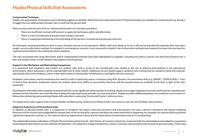### **Compromised Technique**

Maybo risk assessments are based on each skill being applied as intended. Staff need to be made aware that if Maybo techniques are adapted or compromised (e.g. during a struggle) this can substantially increase risks to staff and the person held.

Risks increase with the level of force, method and duration of a restraint and where:

- **•** There are insufficient trained staff present to apply the techniques safely and effectively;
- $\blacksquare$  There is a lack of leadership and supervision during a restraint;
- **•** There is inadequate monitoring of the well-being of the person/s involved during and post restraint.

No technique can be guaranteed to work in every situation and set of circumstances. Whilst staff must adopt as far as is safe and practicable the methods they have been taught, use of an alternative method, for example in an emergency scenario, is not necessarily unlawful. Use of alternative methods may however increase risks and must be reported and justified to the satisfaction of the employer.

The risks associated with using alternative and/or compromised methods have been highlighted in tragedies, including one where a person was held bent forward over a bed, and another where a staff member was pulled on top of a person.

### **Support in the Workplace and Maintaining Competency**

It is important that employers and trainers are realistic with staff in terms of the considerable risks related to the use of physical interventions in the operational environment, where behaviours can be unpredictable and at times violent. Additional service-based support, guidance and training may be needed to build and maintain operational skills and confidence, which is best when based on foreseeable risk behaviours and highly relevant scenarios.

Employers and trainers need to emphasise the need for staff to continually assess a situation using their dynamic risk assessment skills (e.g. SAFER<sup>TM</sup>, POPS & SEALTM Test) to inform their decisions. Employees need to be realistic about their ability to successfully intervene with the people/resources available at the time, in light of the risks presented.

Psychomotor skills fade unless regularly practiced and this can be significant within months of training. Maybo encourages employers to ensure staff maintain competencies between formal refresher and recertification training through supervised and safe 'structured practice'. Maybo provides additional guidance for employers and trainers to follow when delivering and practising Maybo skills and when conducting 'Structured Practice' within services.

It is important to seek support from in-house Maybo certified trainers and/or from Maybo if there are concerns over the use of Maybo interventions.

### **Subjective Experience of Person Restrained**

In addition to physical health risks, it is important to recognise the impact restrictive practices and interventions can have a person's emotional and mental wellbeing. Restraint will be stressful and undignified for anyone and can be terrifying for a person who does not understand what is happening, for example, for a person who is psychotic, cognitively impaired or autistic, or, for a person who has experienced trauma and for whom physical intervention may be re-traumatising.

The independent study undertaken of Maybo Physical Interventions by Dr. John Parkes at Coventry University measured both the physiological and subjective experience of participants when held in certain methods and positions. The subjective ratings included fear, anxiety, confusion, disorientation and invasion of personal space. These were

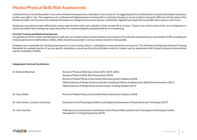combined into an 'overall discomfort' score and no Maybo techniques were rated above 1 (on a scale of 1-4) suggesting the level of discomfort caused by the Maybo techniques in their own right is 'low'. The experience of a confused and frightened person being held in a stressful situation is of course likely to be quite different, but the point is that Maybo has taken care to ensure the methods themselves are designed to be as low arousal, comfortable, dignified and respectful as possible when used as a last resort.

Employees may also have been affected by trauma experienced in their past, whether in their private life or at work. Trainers may not be aware of this, so it is important to always be mindful that training may cause discomfort for some participants and potentially be re-traumatising.

### **First Aid Training and Medical Emergencies**

It is good practice for trainers and operational staff who are trained in physical interventions to be trained in first aid and cardiopulmonary resuscitation (CPR), including use of automated external defibrillators (AEDs). AEDs should be accessible in services where restraint is foreseeable.

Employers are responsible for checking requirements as such training, which is a stipulation in some territories and services. The UK Restraint Reduction Network Training Standards for example (section 4) set out specific stipulations concerning first aid certification levels for trainers and for operational staff trained in physical interventions and the availability of AEDs.

#### **Independent External Contributors**

| Dr Anthony Bleetman                  | Review of Physical Skills Injury Data (2015, 2019, 2021)<br>Review of Physical Skills Risk Assessments (2019)<br>Review of Maybo Physical Intervention Risk Assessment Guidance (2018)<br>Medical Review of Maybo Positive and Safer Handling (Children & Adolescents) Skills Risk Assessments (2017)<br>Medical Review of Maybo Physical Intervention Training Syllabus (2015) |
|--------------------------------------|---------------------------------------------------------------------------------------------------------------------------------------------------------------------------------------------------------------------------------------------------------------------------------------------------------------------------------------------------------------------------------|
| Dr. Stas Lifshitz                    | Review of Maybo Physical Intervention Risk Assessment Guidance (2018)                                                                                                                                                                                                                                                                                                           |
| Dr. John Parkes, Coventry University | Evaluation of the Physiological Effects and Subjective Experience of Maybo Restraint Techniques (2017)                                                                                                                                                                                                                                                                          |
| Dr. Chris Van Eee                    | A Biomechanical Assessment and Review of the Physical Skills and Restraint Techniques of the Maybo Conflict<br>Management Training Programme (2015)                                                                                                                                                                                                                             |

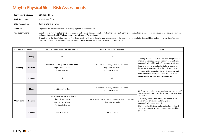| <b>Technique Risk Group:</b> | <b>BOMB SHELTER</b>                                                                                                                                                                                                                                                                                                 |
|------------------------------|---------------------------------------------------------------------------------------------------------------------------------------------------------------------------------------------------------------------------------------------------------------------------------------------------------------------|
| <b>Adult Techniques:</b>     | Bomb Shelter (Exit)                                                                                                                                                                                                                                                                                                 |
| <b>Child Techniques:</b>     | Bomb Shelter (Hair Grab)                                                                                                                                                                                                                                                                                            |
| Intention:                   | To protect the head from blows whilst escaping from a violent assault.                                                                                                                                                                                                                                              |
| <b>Key Observations:</b>     | "A skill used in very volatile and violent scenarios and is about damage limitation rather than control. Given the unpredictability of these scenarios, injuries are likely and may be<br>serious and unpredictable. Training controls are adequate." Dr Bleetman.                                                  |
|                              | "In addition to the risk of slips, trips and falls there is a risk of finger dislocation and fracture, and in the case of violent escalation in a real-life situation there is a risk of serious<br>injury, including injury to the head and face, even if the techniques are applied correctly." Dr Stas Lifshitz. |

| Environment     | Likelihood      | Risks to the subject of the intervention                                                                          | Risks to the conflict manager                                                                    | <b>Controls</b>                                                                                                                                                                                                                                                                                                       |
|-----------------|-----------------|-------------------------------------------------------------------------------------------------------------------|--------------------------------------------------------------------------------------------------|-----------------------------------------------------------------------------------------------------------------------------------------------------------------------------------------------------------------------------------------------------------------------------------------------------------------------|
|                 | Likely          | Nil                                                                                                               | Nil                                                                                              | Training to cover likely risk scenarios and proactive<br>measures for reducing vulnerability to assault e.g.                                                                                                                                                                                                          |
| <b>Training</b> | <b>Possible</b> | Minor soft tissue injuries to upper limbs<br>Slips, trips and falls<br><b>Emotional distress</b>                  | Minor soft tissue injuries to upper limbs<br>Slips, trips and falls<br><b>Emotional distress</b> | communication skills and safer working practices.<br>Learners made aware of potential environmental<br>hazards that increase risk of slips, trips and falls.<br>Tutor provides safety briefing and instruction and<br>controlled exercise as per Trainer Session Plans.<br>Delegates do not strike each other or run. |
|                 | Remote          | Nil                                                                                                               | Nil                                                                                              |                                                                                                                                                                                                                                                                                                                       |
|                 | Likely          | Soft tissue injuries                                                                                              | Minor soft tissue injuries to upper limbs<br><b>Emotional distress</b>                           | Staff aware and alert to personal and environmental /<br>situational risk factors and hazards and warning signs                                                                                                                                                                                                       |
| Operational     | <b>Possible</b> | Injury from escalation of violence<br>Slips, trips and falls<br>Injury to hands/arms<br><b>Emotional distress</b> | Escalation of violence and injuries to other body parts<br>Slips, trips and falls                | /indicators.<br>Aware of guidance, exit paths, safe havens, safer<br>positioning / proxemics and emergency<br>communications and support.<br>Staff consulted, briefed and practised on likely risk                                                                                                                    |
|                 | Remote          | Clash of heads                                                                                                    | Clash of heads                                                                                   | scenarios preventive strategies and safer working<br>practices.                                                                                                                                                                                                                                                       |

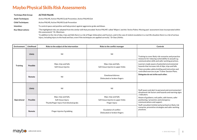| <b>Technique Risk Group:</b> | <b>ACTIVE PALMS</b>                                                                                                                                                                                                |  |
|------------------------------|--------------------------------------------------------------------------------------------------------------------------------------------------------------------------------------------------------------------|--|
| <b>Adult Techniques:</b>     | Active PALMS, Active PALMS Grab Prevention, Active PALMS Exit                                                                                                                                                      |  |
| <b>Child Techniques:</b>     | Active PALMS, Active PALMS Grab Prevention                                                                                                                                                                         |  |
| Intention:                   | To control space and position and help protect against aggressive grabs and blows.                                                                                                                                 |  |
| <b>Key Observations:</b>     | "The highlighted risks are adopted from the similar skill that preceded 'Active PALMS' called 'Wipers' and the 'Active Palms: Moving past' assessment (now incorporated within<br>this assessment)." Dr. Bleetman. |  |
|                              | "In addition to the risk of slips, trips and falls there is a risk of finger dislocation and fracture, and in the case of violent escalation in a real-life situation there is a risk of serious                   |  |

injury, including injury to the head and face, even if the techniques are applied correctly." Dr Stas Lifshitz.

**Environment Likelihood Risks to the subject of the intervention Risks to the conflict manager Controls Training Likely** Nil Nil Training to cover likely risk scenarios and proactive measures for reducing vulnerability to assault e.g. communication skills and safer working practices. Learners made aware of potential environmental hazards that increase risk of slips, trips and falls. Tutor provides safety briefing and instruction and controlled exercise as per Trainer Session Plans. **Delegates do not strike each other. Possible** Slips, trips and falls Soft tissue injuries Slips, trips and falls. Soft tissue injuries to upper limbs **Remote** Nil Emotional distress Dislocated or broken fingers **Operational Likely** Nil Nil Staff aware and alert to personal and environmental / situational risk factors and hazards and warning signs / indicators. Aware of guidance, exit paths, safe havens, safer positioning / proxemics and emergency communications and support. Staff consulted, briefed and practised on likely risk scenarios, preventive strategies and safer working practices. **Possible** Slips, trips and falls. Soft tissue injury Thumb/finger injury from blocked grabs Slips, trips and falls Soft tissue injuries to upper limbs Finger injury **Remote Finger injuries if grabbing** Escalation of conflict Dislocated or broken fingers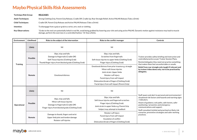| <b>Technique Risk Group:</b> | <b>RELEASES</b>                                                                                                                                                                                                                                             |
|------------------------------|-------------------------------------------------------------------------------------------------------------------------------------------------------------------------------------------------------------------------------------------------------------|
| <b>Adult Techniques:</b>     | Strong Clothing Grip, Parent Grip Release, Cradle Off, Cradle Up, Rear Strangle Relief, Active PALMS Release (Take a Drink)                                                                                                                                 |
| <b>Child Techniques:</b>     | Cradle Off, Parent Grip Release and Active PALMS Release (Take a Drink)                                                                                                                                                                                     |
| Intention:                   | To disengage from a grip or grab to a wrist, arm, neck or clothing.                                                                                                                                                                                         |
| <b>Key Observations:</b>     | "Grabs to the neck are potentially lethal in real life, avoid being grabbed by lowering your chin and using active PALMS. Dynamic motion against resistance may lead to muscle<br>damage, perform the exercises in a controlled fashion." Dr Stas Lifshitz. |

| <b>Environment</b> | Likelihood      | Risks to the subject of the intervention                                                                                                                       | Risks to the conflict manager                                                                                                                                                                                                                                          | <b>Controls</b>                                                                                                                                                                                                                                                                                                                              |
|--------------------|-----------------|----------------------------------------------------------------------------------------------------------------------------------------------------------------|------------------------------------------------------------------------------------------------------------------------------------------------------------------------------------------------------------------------------------------------------------------------|----------------------------------------------------------------------------------------------------------------------------------------------------------------------------------------------------------------------------------------------------------------------------------------------------------------------------------------------|
|                    | Likely          | Nil                                                                                                                                                            | Nil                                                                                                                                                                                                                                                                    |                                                                                                                                                                                                                                                                                                                                              |
| <b>Training</b>    | <b>Possible</b> | Slips, trips and falls<br>Damage to fingernails (Cradle Off)<br>Soft Tissue Injuries (Clothing Grab)<br>Thumb/finger injury from blocked grabs (Clothing Grab) | Slips, trips and falls.<br>Scratches from fingernails<br>Soft tissue injuries to upper limbs (Clothing Grab)<br>Finger Injury (Clothing Grab)                                                                                                                          | Trainer provides safety briefing and instruction and<br>controlled practice as per Trainer Session Plans.<br>Remind delegates they need not practice something<br>that makes them feel uncomfortable or unsafe.<br>Relief from rear strangle only taught if relevant and<br>by trainer/video demo only; not to be practiced by<br>delegates. |
|                    | Remote          | <b>Emotional distress</b>                                                                                                                                      | Emotional distress from prior trauma e.g. strangle<br>Minor soft tissue injuries<br>Joint strain: Upper limbs<br>Rotator cuff injury<br>Facial injury from self-impact<br>Dislocation/break of fingers (Clothing Grab)<br>Facial injury from self-impact (Parent Grip) |                                                                                                                                                                                                                                                                                                                                              |
|                    | Likely          | Nil                                                                                                                                                            | Nil                                                                                                                                                                                                                                                                    | Staff aware and alert to personal and environmental /                                                                                                                                                                                                                                                                                        |
| Operational        | <b>Possible</b> | Slips, trips and falls<br>Minor soft tissue injuries<br>Damage to fingernails (Cradle Off)<br>Finger injury from blocked grabs (Clothing Grab)                 | Slips, trips and falls<br>Soft tissue injuries and fingernail scratches<br>Finger injury (Clothing Grab)<br>Joint strain in upper limbs e.g. Parent Grip<br>Subject may attempt to headbutt                                                                            | situational risk factors and hazards and warning signs<br>/indicators.<br>Aware of guidance, exit paths, safe havens, safer<br>positioning / proxemics and emergency<br>communications and support.<br>Staff consulted, briefed and practised on likely risk<br>scenarios, preventive strategies and safer working<br>practices.             |
|                    | Remote          | Damage to thumb, fingers and wrist<br>Upper limb joint and tendon damage<br>Rotator cuff injuries                                                              | Rotator cuff injury<br>Facial injury from self-impact<br><b>Escalation of conflict</b><br>Dislocation/break of fingers (Clothing Grab)                                                                                                                                 |                                                                                                                                                                                                                                                                                                                                              |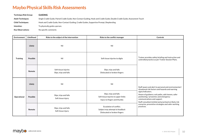| Techniaue Risk Group:    | <b>GUIDING</b>                                                                                                              |
|--------------------------|-----------------------------------------------------------------------------------------------------------------------------|
| <b>Adult Techniques:</b> | Single Cradle Guide, Paired Cradle Guide, Non-Contact Guiding, Hook and Cradle Guide, Double Cradle Guide, Assessment Touch |
| <b>Child Techniques:</b> | Hook and Cradle Guide, Non-Contact Guiding, Cradle Guides, Supportive Prompt, Shepherding                                   |
| Intention:               | To physically guide a person.                                                                                               |
| <b>Key Observations:</b> | No specific comments                                                                                                        |

| Environment     | Likelihood      | Risks to the subject of the intervention       | Risks to the conflict manager                                                                 | <b>Controls</b>                                                                                                                                                                                                                                                             |
|-----------------|-----------------|------------------------------------------------|-----------------------------------------------------------------------------------------------|-----------------------------------------------------------------------------------------------------------------------------------------------------------------------------------------------------------------------------------------------------------------------------|
|                 | Likely          | Nil                                            | Nil                                                                                           |                                                                                                                                                                                                                                                                             |
| <b>Training</b> | <b>Possible</b> | Nil                                            | Soft tissue injuries to digits                                                                | Trainer provides safety briefing and instruction and<br>controlled practice as per Trainer Session Plans.                                                                                                                                                                   |
|                 | Remote          | Soft tissue injuries<br>Slips, trips and falls | Slips, trips and falls<br>Dislocated or broken fingers                                        |                                                                                                                                                                                                                                                                             |
|                 | Likely          | Nil                                            | Nil                                                                                           | Staff aware and alert to personal and environmental /<br>situational risk factors and hazards and warning                                                                                                                                                                   |
| Operational     | <b>Possible</b> | Slips, trips and falls<br>Soft tissue injury   | Slips, trips and falls<br>Soft tissue injuries to upper limbs<br>Injury to fingers and thumbs | signs/indicators.<br>Aware of guidance, exit paths, safe havens, safer<br>positioning / proxemics and emergency<br>communications and support.<br>Staff consulted, briefed and practised on likely risk<br>scenarios, preventive strategies and safer working<br>practices. |
|                 | Remote          | Slips, trips and falls<br>Soft tissue injury   | Escalation of conflict.<br>Subject may attempt to headbutt<br>Dislocated or broken fingers    |                                                                                                                                                                                                                                                                             |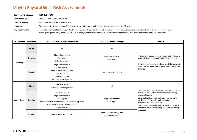| <b>Techniaue Risk Group:</b> | <b>REDIRECTION</b>                                                                                                                                                             |
|------------------------------|--------------------------------------------------------------------------------------------------------------------------------------------------------------------------------|
| <b>Adult Techniques:</b>     | Hook and Cradle Turn, Elbow Turn                                                                                                                                               |
| <b>Child Techniques:</b>     | Front Shoulder Turn, Rear Shoulder Turn                                                                                                                                        |
| Intention:                   | To redirect or turn a person away from harm/towards safety, or to redirect a person/s assaulting another ('Rescue').                                                           |
| <b>Key Observations:</b>     | Specifically, for these techniques, Dr Bleetman recognises "there is a risk of rotational injuries to the subject's spine and an increased risk of fall and secondary injury." |
|                              | "When guiding and turning people special care must be given to balance and risk of fall. Avoid bending the back either backwards or forwards." Dr Stas Lifshitz.               |

| <b>Environment</b> | Likelihood      | Risks to the subject of the intervention                                                                                                                                                     | Risks to the conflict manager                             | <b>Controls</b>                                                                                                                                                                                                                                                                                                   |
|--------------------|-----------------|----------------------------------------------------------------------------------------------------------------------------------------------------------------------------------------------|-----------------------------------------------------------|-------------------------------------------------------------------------------------------------------------------------------------------------------------------------------------------------------------------------------------------------------------------------------------------------------------------|
|                    | Likely          | Nil                                                                                                                                                                                          | Nil                                                       |                                                                                                                                                                                                                                                                                                                   |
|                    | <b>Possible</b> | Slips, trips and falls<br>Back injury<br>Soft tissue injury                                                                                                                                  | Slips, trips and falls<br>Back injury                     | Trainer provides safety briefing and instruction and<br>controlled practice as per Trainer Session Plans.<br>Particular care and supervision needed to prevent<br>trips, falls and collisions as these methods can affect<br>balance.                                                                             |
| <b>Training</b>    | Remote          | Slips, trips and falls<br><b>Emotional distress</b><br>Knee or ankle twist injuries<br>Clash of heads<br>Soft tissue injuries<br>Scratches from fingernails                                  | Knee or ankle twist injuries                              |                                                                                                                                                                                                                                                                                                                   |
| Operational        | Likely          | Soft tissue injuries<br>Scratches from fingernails                                                                                                                                           | Nil                                                       | Staff aware and alert to personal and environmental /                                                                                                                                                                                                                                                             |
|                    | Possible        | Unconsciousness<br>Slips, trips and falls<br>Back injury<br>Soft tissue injury to shoulder (or Hip area for hip turn)<br>Facial injuries from clashing of heads<br><b>Emotional distress</b> | Slips, trips and falls<br>Back injury                     | situational risk factors and hazards and warning<br>signs/indicators.<br>Aware of guidance, exit paths, safe havens, safer<br>positioning / proxemics and emergency<br>communications and support.<br>Staff consulted, briefed and practised on likely risk<br>scenarios, preventive strategies and safer working |
|                    | Remote          | Knee or ankle twist injuries                                                                                                                                                                 | Knee or ankle twist injuries<br><b>Emotional distress</b> | practices.                                                                                                                                                                                                                                                                                                        |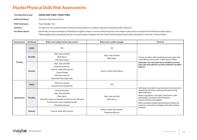| <b>Techniaue Risk Group:</b> | <b>HOOK AND TURN / TEAM TURN</b>                                                                                                                                                                                                                                                                                                                   |
|------------------------------|----------------------------------------------------------------------------------------------------------------------------------------------------------------------------------------------------------------------------------------------------------------------------------------------------------------------------------------------------|
| <b>Adult Techniques:</b>     | Team Turn. Hip Hook and Turn                                                                                                                                                                                                                                                                                                                       |
| <b>Child Techniques:</b>     | Team Shoulder Turn                                                                                                                                                                                                                                                                                                                                 |
| Intention:                   | To redirect or turn a person away from harm/towards safety, or to redirect a person/s assaulting another ('Rescue').                                                                                                                                                                                                                               |
| <b>Key Observations:</b>     | Specifically, for these techniques, Dr Bleetman recognises 'there is a risk of rotational injuries to the subject's spine and an increased risk of fall and secondary injury."<br>"When guiding and turning people special care must be given to balance and risk of fall. Avoid bending the back either backwards or forwards." Dr Stas Lifshitz. |

| Environment     | Likelihood      | Risks to the subject of the intervention                                                                                                                                                     | Risks to the conflict manager                             | <b>Controls</b>                                                                                                                                                                                                                                                                                                                                                                          |
|-----------------|-----------------|----------------------------------------------------------------------------------------------------------------------------------------------------------------------------------------------|-----------------------------------------------------------|------------------------------------------------------------------------------------------------------------------------------------------------------------------------------------------------------------------------------------------------------------------------------------------------------------------------------------------------------------------------------------------|
| <b>Training</b> | Likely          | Nil                                                                                                                                                                                          | Nil                                                       |                                                                                                                                                                                                                                                                                                                                                                                          |
|                 | <b>Possible</b> | Slips, trips and falls<br>Back injury<br>Soft tissue injury                                                                                                                                  | Slips, trips and falls<br>Back injury                     | Trainer provides safety briefing and instruction and<br>controlled practice as per Trainer Session Plans.                                                                                                                                                                                                                                                                                |
|                 | Remote          | Slips, trips and falls<br><b>Emotional distress</b><br>Knee or ankle twist injuries<br>Clash of heads<br>Soft tissue injuries<br>Scratches from fingernails                                  | Knee or ankle twist injuries                              | Particular care and supervision needed to prevent<br>trips, falls and collisions as these methods can affect<br>balance.                                                                                                                                                                                                                                                                 |
| Operational     | Likely          | Soft tissue injuries<br>Scratches from fingernails                                                                                                                                           | Nil                                                       | Staff aware and alert to personal and environmental /<br>situational risk factors and hazards and warning<br>signs/indicators.<br>Aware of guidance, exit paths, safe havens, safer<br>positioning / proxemics and emergency<br>communications and support.<br>Staff consulted, briefed and practised on likely risk<br>scenarios, preventive strategies and safer working<br>practices. |
|                 | <b>Possible</b> | Unconsciousness<br>Slips, trips and falls<br>Back injury<br>Soft tissue injury to shoulder (or Hip area for hip turn)<br>Facial injuries from clashing of heads<br><b>Emotional distress</b> | Slips, trips and falls<br>Back injury                     |                                                                                                                                                                                                                                                                                                                                                                                          |
|                 | Remote          | Knee or ankle twist injuries                                                                                                                                                                 | Knee or ankle twist injuries<br><b>Emotional distress</b> |                                                                                                                                                                                                                                                                                                                                                                                          |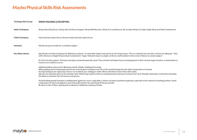#### **Technique Risk Group: WRAP HOLDING & ESCORTING**

| <b>Adult Techniques:</b> | Wrap Hold, Wrap Escort, Wrap with 3rd Person Support, Wrap Wall Recovery, Wrap Turn and Reverse, De-escalate Wrap to Cradle, Single Wrap and Hook Containment                                                                                                                                                                                                                                                                                                                                                                                                                                          |
|--------------------------|--------------------------------------------------------------------------------------------------------------------------------------------------------------------------------------------------------------------------------------------------------------------------------------------------------------------------------------------------------------------------------------------------------------------------------------------------------------------------------------------------------------------------------------------------------------------------------------------------------|
| <b>Child Techniques:</b> | Hook and Interrupter Escort, Reverse Hook and Interrupter Escort                                                                                                                                                                                                                                                                                                                                                                                                                                                                                                                                       |
| Intention:               | Mostly two person holds for a turbulent subject.                                                                                                                                                                                                                                                                                                                                                                                                                                                                                                                                                       |
| <b>Key Observations:</b> | Specifically, for these techniques Dr Bleetman cautions: "A vulnerable subject may also be at risk of back injury. This is a relatively low risk skill, controls are adequate." Also,<br>with reference to Single Wrap & Hook Containment: "Upper limb joint injury to subject, strikes to staff members in the event of failure to contain subject."<br>Dr Chris Van Eee reports: The basic principles are biomechanically sound. The restraint techniques focus on keeping joints in their normal range of motion, so dislocations or<br>fractures are unlikely to occur.                            |
|                          | Additional Observations by Dr Bleetman and Dr Lifshitz: Holding & Escorting:<br>When guiding and turning people special care must be given to balance and risk of fall. Avoid bending the back either backwards or forwards.<br>During training do not vigorously resist or try to defeat your colleagues' holds. Work with them to learn these skills safely.<br>Special care should be given to the shoulder joint. Minimising rotation of the arm and backwards extension can lower the risk of shoulder dislocation. Avoid fully extending<br>the elbow to minimise risk of fractures and sprains. |
|                          | Avoid bending people forwards or holding them against (or over) a rigid object, (which can lead to positional asphyxia), especially in the seated (or kneeling) position. Avoid<br>compression of chest and abdomen and continually monitor the well-being of the person held.<br>Be alert to risks of bites, spitting and accidental or deliberate clashing of heads.                                                                                                                                                                                                                                 |

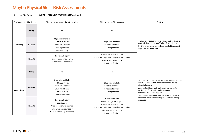**Technique Risk Group: WRAP HOLDING & ESCORTING (Continued)**

| <b>Environment</b> | Likelihood | Risks to the subject of the intervention                                                                                                      | Risks to the conflict manager                                                                                                                                                                   | <b>Controls</b>                                                                                                                                                                                                                                                                                                      |
|--------------------|------------|-----------------------------------------------------------------------------------------------------------------------------------------------|-------------------------------------------------------------------------------------------------------------------------------------------------------------------------------------------------|----------------------------------------------------------------------------------------------------------------------------------------------------------------------------------------------------------------------------------------------------------------------------------------------------------------------|
| <b>Training</b>    | Likely     | Nil                                                                                                                                           | Nil                                                                                                                                                                                             |                                                                                                                                                                                                                                                                                                                      |
|                    | Possible   | Slips, trips and falls<br>Soft tissue injuries<br>Superficial scratches<br>Clashing of heads<br>Shoulder injury                               | Slips, trips and falls<br>Soft tissue injuries<br>Clashing of heads                                                                                                                             | Trainer provides safety briefing and instruction and<br>controlled practice as per Trainer Session Plans.<br>Particular care and supervision needed to prevent<br>trips, falls and collisions.                                                                                                                       |
|                    | Remote     | Rotator cuff injury<br>Knee or ankle twist injuries<br>Joint strain in upper limbs                                                            | Knee or ankle twist injuries<br>Lower back injuries through bad positioning<br>Joint strain: Upper limbs<br>Rotator cuff injury                                                                 |                                                                                                                                                                                                                                                                                                                      |
| Operational        | Likely     | Nil                                                                                                                                           | Nil                                                                                                                                                                                             |                                                                                                                                                                                                                                                                                                                      |
|                    | Possible   | Slips, trips and falls.<br>Soft tissue injuries<br>Superficial scratches<br>Clashing of heads<br>Shoulder injury<br><b>Emotional distress</b> | Slips, trips and falls<br>Soft tissue injuries<br><b>Emotional distress</b><br>Clashing of heads                                                                                                | Staff aware and alert to personal and environmental /<br>situational risk factors and hazards and warning<br>signs/indicators.<br>Aware of guidance, exit paths, safe havens, safer<br>positioning / proxemics and emergency<br>communications and support.<br>Staff consulted, briefed and practised on likely risk |
|                    | Remote     | Rotator cuff injury<br><b>Back injuries</b><br>Knee or ankle twist injuries.<br>Fall injuries compounded by<br>CM's falling on top of subject | <b>Escalation of conflict</b><br>Head butting from subject<br>Knee or ankle twist injuries<br>Lower back injuries through bad positioning<br>Joint strain in upper limbs<br>Rotator cuff injury | scenarios, preventive strategies and safer working<br>practices.                                                                                                                                                                                                                                                     |

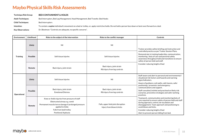| Technique Risk Group:    | <b>BED CONTAINMENT &amp; HOLDS</b>                                                                                                                        |
|--------------------------|-----------------------------------------------------------------------------------------------------------------------------------------------------------|
| <b>Adult Techniques:</b> | Bed Interrupters, Bed Leg Management, Head Management, Bed Transfer, Bed Hooks                                                                            |
| <b>Child Techniques:</b> | Bed Interrupters                                                                                                                                          |
| Intention:               | To contain a supine individual's movement on a bed or trolley, or, apply restrictive holds. Do not hold a person face down or bent over/forward on a bed. |
|                          |                                                                                                                                                           |

Key Observations: Dr. Bleetman: "Controls are adequate, no specific concerns".

| <b>Environment</b> | Likelihood      | Risks to the subject of the intervention                                                                                                                                                                  | Risks to the conflict manager                                   | Controls                                                                                                                                                                                                                                                                                                              |
|--------------------|-----------------|-----------------------------------------------------------------------------------------------------------------------------------------------------------------------------------------------------------|-----------------------------------------------------------------|-----------------------------------------------------------------------------------------------------------------------------------------------------------------------------------------------------------------------------------------------------------------------------------------------------------------------|
| <b>Training</b>    | Likely          | Nil                                                                                                                                                                                                       | Nil                                                             | Trainer provides safety briefing and instruction and                                                                                                                                                                                                                                                                  |
|                    | <b>Possible</b> | Soft tissue injuries                                                                                                                                                                                      | Soft tissue injuries                                            | controlled practice as per Trainer Session Plans.<br>Demonstrate in training leadership, communication,<br>monitoring / duty of care and personal safety<br>awareness throughout hold and transitions to ensure<br>safety of person held and staff.                                                                   |
|                    | Remote          | Back injury, joint strain                                                                                                                                                                                 | Back injury, joint strain<br>Rib injury from leg controls       | Consider reducing height of bed                                                                                                                                                                                                                                                                                       |
| Operational        | Likely          | Soft tissue injuries                                                                                                                                                                                      | Nil                                                             | Staff aware and alert to personal and environmental /<br>situational risk factors and hazards and warning<br>signs/indicators.<br>Aware of guidance, exit paths, safe havens, safer                                                                                                                                   |
|                    | Possible        | Back injury, joint strain<br><b>Emotional Distress</b>                                                                                                                                                    | Back injury, joint strain<br>Rib injury from leg controls       | positioning / proxemics and emergency<br>communications and support.<br>Staff consulted, briefed and practised on likely risk<br>scenarios, preventive strategies and safer working<br>practices.                                                                                                                     |
|                    | Remote          | Knee or Ankle injuries from pressure of staff<br>Obstructed airway e.g. vomit<br>Permanent muscle/nerve damage if prolonged pressure<br>applied to limbs<br>Falls from bed/trolley<br>Positional Asphyxia | Falls, upper limb joint disruption<br>Injury from blows & kicks | Teamwork, communication and monitoring/duty of<br>care required to ensure safety of person held and staff<br>during approach, control, de-escalation and<br>disengagement. Team approach and positioning to<br>avoid blows and kicks.<br>Consider reducing height of bed<br>Alert to prevent person falling from bed. |

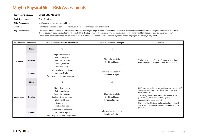| <b>Techniaue Risk Group:</b> | <b>CROSS BODY ESCORT</b>                                                                                                                                                                                                                                                                                                                                          |
|------------------------------|-------------------------------------------------------------------------------------------------------------------------------------------------------------------------------------------------------------------------------------------------------------------------------------------------------------------------------------------------------------------|
| <b>Adult Techniques:</b>     | Cross Body Escort                                                                                                                                                                                                                                                                                                                                                 |
| <b>Child Techniques:</b>     | Not intended for use on small children                                                                                                                                                                                                                                                                                                                            |
| Intention:                   | To hold and escort a non-compliant individual who is not highly aggressive or turbulent.                                                                                                                                                                                                                                                                          |
| <b>Key Observations:</b>     | Specifically, for this technique, Dr Bleetman cautions: "The subject might attempt to head butt. For children or subjects of a short stature, the height differential may result in<br>the subject's arm being elevated across the front of the chest up towards the shoulder. This has implications for the handling of female subjects across the breast area". |

Dr Parkes cautions that misapplication of this technique, which involves compression, may have greater effects on people who are physically small.

| Environment     | Likelihood      | Risks to the subject of the intervention                                                                                                                               | Risks to the conflict manager                                            | <b>Controls</b>                                                                                                                                                                                                                                                                                                                                                            |
|-----------------|-----------------|------------------------------------------------------------------------------------------------------------------------------------------------------------------------|--------------------------------------------------------------------------|----------------------------------------------------------------------------------------------------------------------------------------------------------------------------------------------------------------------------------------------------------------------------------------------------------------------------------------------------------------------------|
|                 | Likely          | Nil                                                                                                                                                                    | Nil                                                                      |                                                                                                                                                                                                                                                                                                                                                                            |
| <b>Training</b> | <b>Possible</b> | Slips, trips and falls<br>Soft tissue injury<br>Superficial scratches<br>Clashing of heads<br>Shoulder injury                                                          | Slips, trips and falls<br>Clashing of heads                              | Trainer provides safety briefing and instruction and<br>controlled practice as per Trainer Session Plans.                                                                                                                                                                                                                                                                  |
|                 | Remote          | Joint strain in upper limbs<br>Rotator cuff injury<br>Breathing mechanisms compromised                                                                                 | Joint strain in upper limbs<br>Rotator cuff injury                       |                                                                                                                                                                                                                                                                                                                                                                            |
|                 | Likely          | Nil                                                                                                                                                                    | Nil                                                                      |                                                                                                                                                                                                                                                                                                                                                                            |
| Operational     | <b>Possible</b> | Slips, trips and falls<br>Soft tissue injury<br>Superficial scratches<br>Contact with breast area<br>Clashing of heads<br>Shoulder injury<br><b>Emotional distress</b> | Slips, trips and falls<br>Clashing of heads<br><b>Emotional distress</b> | Staff aware and alert to personal and environmental /<br>situational risk factors and hazards and warning<br>signs/indicators.<br>Aware of guidance, exit paths, safe havens, safer<br>positioning / proxemics and emergency<br>communications and support.<br>Staff consulted, briefed and practised on likely risk<br>scenarios, preventive strategies and safer working |
|                 | Remote          | Joint strain in upper limbs<br>Rotator cuff injury<br>Breathing mechanisms compromised                                                                                 | Joint strain in upper limbs<br>Rotator cuff injury                       | practices.                                                                                                                                                                                                                                                                                                                                                                 |

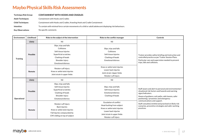| <b>Technique Risk Group:</b> | <b>CONTAINMENT WITH HOOKS AND CRADLES</b>                                                                  |
|------------------------------|------------------------------------------------------------------------------------------------------------|
| <b>Adult Techniques:</b>     | <b>Containment with Hooks and Cradles</b>                                                                  |
| <b>Child Techniques:</b>     | Containment with Hooks and Cradles, Kneeling Hook and Cradle Containment                                   |
| Intention:                   | To contain with minimal force certain movements of a child or adult/adolescent displaying risk behaviours. |
| <b>Key Observations:</b>     | No specific comments                                                                                       |

| Environment     | Likelihood      | Risks to the subject of the intervention                                                                                                                   | Risks to the conflict manager                                                                                                                                           | <b>Controls</b>                                                                                                                                                                                                              |
|-----------------|-----------------|------------------------------------------------------------------------------------------------------------------------------------------------------------|-------------------------------------------------------------------------------------------------------------------------------------------------------------------------|------------------------------------------------------------------------------------------------------------------------------------------------------------------------------------------------------------------------------|
|                 | <b>Likely</b>   | Nil                                                                                                                                                        | Nil                                                                                                                                                                     |                                                                                                                                                                                                                              |
| <b>Training</b> | <b>Possible</b> | Slips, trips and falls<br>Collisions<br>Soft tissue injuries<br>Superficial scratches<br>Clashing of heads<br>Shoulder injury<br><b>Emotional distress</b> | Slips, trips and falls<br>Collisions<br>Soft tissue injuries<br>Clashing of heads<br><b>Emotional distress</b>                                                          | Trainer provides safety briefing and instruction and<br>controlled practice as per Trainer Session Plans.<br>Particular care and supervision needed to prevent<br>trips, falls and collisions.                               |
|                 | Remote          | Rotator cuff injury<br>Knee or ankle twist injuries<br>Joint strain in upper limbs                                                                         | Knee or ankle twist injuries<br>Lower back injuries<br>Joint strain: Upper limbs<br>Rotator cuff injury                                                                 |                                                                                                                                                                                                                              |
|                 | <b>Likely</b>   | Nil                                                                                                                                                        | Nil                                                                                                                                                                     |                                                                                                                                                                                                                              |
| Operational     | Possible        | Slips, trips and falls<br>Soft tissue injuries<br>Superficial scratches<br>Clashing of heads<br>Shoulder injury<br><b>Emotional distress</b>               | Slips, trips and falls<br>Soft tissue injuries<br><b>Emotional distress</b><br>Clashing of heads                                                                        | Staff aware and alert to personal and environmental /<br>situational risk factors and hazards and warning<br>signs/indicators.<br>Aware of guidance, exit paths, safe havens, safer<br>positioning / proxemics and emergency |
|                 | Remote          | Rotator cuff injury<br><b>Back injuries</b><br>Knee or ankle twist injuries<br>Fall injuries compounded by<br>CM's falling on top of subject               | <b>Escalation of conflict</b><br>Head-butting from subject<br>Knee or ankle twist injuries<br>Lower back injuries<br>Joint strain in upper limbs<br>Rotator cuff injury | communications and support.<br>Staff consulted, briefed and practised on likely risk<br>scenarios, preventive strategies and safer working<br>practices.                                                                     |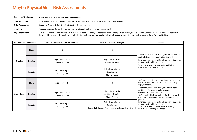| <b>Technique Risk Group:</b> | SUPPORT TO GROUND/SEATED/KNEELING                                                                              |
|------------------------------|----------------------------------------------------------------------------------------------------------------|
| <b>Adult Techniques:</b>     | Wrap Support to Ground, Switch Kneeling to Seated, Re-Engagement, De-escalation and Disengagement              |
| <b>Child Techniques:</b>     | Support to Ground, Switch Kneeling to Seated, Re-engagement                                                    |
| Intention:                   | To support a person taking themselves from standing to kneeling or seated on the ground.                       |
| <b>Key Observations:</b>     | "Avoid bending the person forward which can lead to positional asphyxia, especially in the seated position. WI |

**Key Observations:** "Avoid bending the person forward which can lead to positional asphyxia, especially in the seated position. When you hold a service user that chooses to lower themselves to the ground, hold your back straight to avoid back injury and lower on a bended knee. Hitting the ground knees first can result in knee fractures." Dr Stas Lifshitz.

| <b>Environment</b> | Likelihood      | Risks to the subject of the intervention       | Risks to the conflict manager                                                                       | <b>Controls</b>                                                                                                                                                                                   |
|--------------------|-----------------|------------------------------------------------|-----------------------------------------------------------------------------------------------------|---------------------------------------------------------------------------------------------------------------------------------------------------------------------------------------------------|
| <b>Training</b>    | Likely          | Nil                                            | Nil                                                                                                 | Trainer provides safety briefing and instruction and                                                                                                                                              |
|                    | <b>Possible</b> | Slips, trips and falls<br>Soft tissue injuries | Slips, trips and falls<br>Soft tissue injuries                                                      | controlled practice as per Trainer Session Plans.<br>Emphasis on individual sitting/kneeling upright to aid<br>full and comfortable breathing.<br>Take care to avoid a seated individual falling  |
|                    | Remote          | Rotator cuff injury<br>Impact injuries         | Fall related injuries<br>Back injuries<br>Clash of heads                                            | backwards and hitting their head.                                                                                                                                                                 |
|                    | Likely          | Soft tissue injuries                           | Nil                                                                                                 | Staff aware and alert to personal and environmental /<br>situational risk factors and hazards and warning<br>signs/indicators.<br>Aware of guidance, exit paths, safe havens, safer               |
| Operational        | <b>Possible</b> | Slips, trips and falls<br>Soft tissue injuries | Slips, trips and falls<br>Soft tissue injuries<br>Clash of heads                                    | positioning / proxemics and emergency<br>communications and support.<br>Staff consulted, briefed and practised on likely risk<br>scenarios, preventive strategies and safer working<br>practices. |
|                    | Remote          | Rotator cuff injury<br>Impact injuries         | Fall related injuries<br>Back injuries<br>Lower limb damage if technique is inadequately controlled | Emphasis on individual sitting/kneeling upright to aid<br>full and comfortable breathing.<br>Take care to avoid a seated individual falling<br>backwards and hitting their head.                  |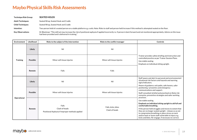| <b>Technique Risk Group:</b> | <b>SEATED HOLDS</b>                                                                                                                                                                                                                       |
|------------------------------|-------------------------------------------------------------------------------------------------------------------------------------------------------------------------------------------------------------------------------------------|
| <b>Adult Techniques:</b>     | Seated Wrap, Seated Hook and Cradle                                                                                                                                                                                                       |
| <b>Child Techniques:</b>     | Seated Wrap, Seated Hook and Cradle                                                                                                                                                                                                       |
| Intention:                   | Two-person hold of a seated person on a stable platform e.g. a sofa. Note: Risks to staff and person held increase if this method is attempted seated on the floor.                                                                       |
| <b>Key Observations:</b>     | Dr Bleetman: "This skill set may increase the risk of positional asphyxia if applied incorrectly i.e. if person is bent forward and not monitored appropriately. Advice on this issue<br>had been provided and is delivered in training." |

| Environment     | Likelihood      | Risks to the subject of the intervention                                   | Risks to the conflict manager         | <b>Controls</b>                                                                                                                                                                                                                                                                                                                                                                                            |
|-----------------|-----------------|----------------------------------------------------------------------------|---------------------------------------|------------------------------------------------------------------------------------------------------------------------------------------------------------------------------------------------------------------------------------------------------------------------------------------------------------------------------------------------------------------------------------------------------------|
| <b>Training</b> | Likely          | Nil                                                                        | Nil                                   | Trainer provides safety briefing and instruction and<br>controlled practice as per Trainer Session Plans.<br>Use stable seating<br>Emphasis on individual sitting upright.                                                                                                                                                                                                                                 |
|                 | <b>Possible</b> | Minor soft tissue injuries                                                 | Minor soft tissue injuries            |                                                                                                                                                                                                                                                                                                                                                                                                            |
|                 | Remote          | Falls                                                                      | Falls                                 |                                                                                                                                                                                                                                                                                                                                                                                                            |
| Operational     | Likely          | Nil                                                                        | Nil                                   | Staff aware and alert to personal and environmental /<br>situational risk factors and hazards and warning<br>signs/indicators.                                                                                                                                                                                                                                                                             |
|                 | <b>Possible</b> | Minor soft tissue injuries                                                 | Minor soft tissue injuries            | Aware of guidance, exit paths, safe havens, safer<br>positioning / proxemics and emergency<br>communications and support.<br>Staff consulted, briefed and practised on likely risk<br>scenarios, preventive strategies and safer working                                                                                                                                                                   |
|                 | Remote          | Falls<br>Clash of heads<br>Positional Asphyxia if improper methods applied | Falls, kicks, bites<br>Clash of heads | practices.<br>Use stable seating.<br>Emphasis on individual sitting upright to aid full and<br>comfortable breathing.<br>If the person held struggles and moves to extent that<br>they are no longer seated upright - release so as not<br>to compromise breathing or place stress on neck<br>and/or back or leave staff vulnerable to injury e.g.<br>kicks and bites. Re-engage, if necessary to correct. |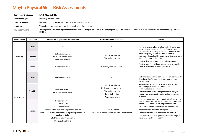| <b>Technique Risk Group:</b>                                                                                         | <b>NARROW SUPINE</b>                                                |
|----------------------------------------------------------------------------------------------------------------------|---------------------------------------------------------------------|
| <b>Adult Techniques:</b>                                                                                             | Narrow (Corridor) Supine                                            |
| <b>Child Techniques:</b>                                                                                             | Narrow (Corridor) Supine, Transition Narrow Supine to Seated        |
| Intention:                                                                                                           | To safely contain an individual on the ground in a supine position. |
| $\mathbf{u}$ $\mathbf{v}$ $\mathbf{v}$ $\mathbf{v}$ $\mathbf{v}$ $\mathbf{v}$ $\mathbf{v}$ $\mathbf{v}$ $\mathbf{v}$ |                                                                     |

Key Observations: "Avoid pressure or impact against the service users' chest in ground holds. Avoid applying prolonged pressure on the limbs to prevent severe and permanent damage." Dr Stas Lifshitz.

| <b>Environment</b> | Likelihood | Risks to the subject of the intervention                                                                                                                                                                                                               | Risks to the conflict manager                                                                                                  | Controls                                                                                                                                                                                                                                                                                                                                                                                                                                                                                                                                                                                                                                                |
|--------------------|------------|--------------------------------------------------------------------------------------------------------------------------------------------------------------------------------------------------------------------------------------------------------|--------------------------------------------------------------------------------------------------------------------------------|---------------------------------------------------------------------------------------------------------------------------------------------------------------------------------------------------------------------------------------------------------------------------------------------------------------------------------------------------------------------------------------------------------------------------------------------------------------------------------------------------------------------------------------------------------------------------------------------------------------------------------------------------------|
| <b>Training</b>    | Likely     | Nil                                                                                                                                                                                                                                                    | Nil                                                                                                                            | Trainer provides safety briefing and instruction and<br>controlled practice as per Trainer Session Plans.<br>Demonstrate in training leadership, communication,<br>monitoring/duty of care and personal safety<br>awareness throughout hold and transitions to ensure<br>safety of person held and staff.<br>Practice de-escalation and medical emergency<br>Practice non-forceful head management to contain<br>range of movement - only if necessary.                                                                                                                                                                                                 |
|                    | Possible   | Soft tissue injuries<br>Friction burns to wrists<br><b>Emotional distress</b>                                                                                                                                                                          | Soft tissue injuries<br>Discomfort kneeling                                                                                    |                                                                                                                                                                                                                                                                                                                                                                                                                                                                                                                                                                                                                                                         |
|                    | Remote     | Rotator cuff injury                                                                                                                                                                                                                                    | Rib injury from leg controls                                                                                                   |                                                                                                                                                                                                                                                                                                                                                                                                                                                                                                                                                                                                                                                         |
| Operational        | Likely     | Soft tissue injuries                                                                                                                                                                                                                                   | Nil                                                                                                                            | Staff aware and alert to personal and environmental /<br>situational risk factors and hazards and warning<br>signs/indicators.                                                                                                                                                                                                                                                                                                                                                                                                                                                                                                                          |
|                    | Possible   | <b>Emotional distress</b><br>Friction burns to wrists                                                                                                                                                                                                  | Soft tissue injuries<br>Rib injury from leg controls<br>Discomfort kneeling<br>Potential spitting<br><b>Emotional distress</b> | Aware of guidance, exit paths, safe havens, safer<br>positioning / proxemics and emergency<br>communications and support.<br>Staff consulted, briefed and practised on likely risk<br>scenarios, preventive strategies and safer working<br>practices.<br>Leadership, communication, monitoring/duty of care<br>and personal safety awareness throughout hold and<br>transitions to ensure safety of person and staff.<br>De-escalate intervention at earliest opportunity<br>Be prepared for a medical emergency<br>Consider soft slim pad under head for comfort<br>Non-forceful head management to contain range of<br>movement - only if necessary. |
|                    | Remote     | Rotator cuff injury<br>Elbow injury<br>Head or neck injuries<br>Knee or Ankle injuries from pressure of staff<br>Permanent muscle/nerve damage if prolonged pressure<br>applied to limbs<br>Obstructed airway e.g. vomit<br><b>Positional Asphyxia</b> | Injury from kicks<br>Bites if positioning and awareness not maintained                                                         |                                                                                                                                                                                                                                                                                                                                                                                                                                                                                                                                                                                                                                                         |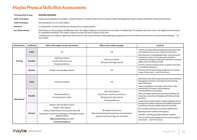Stas Lifshitz.

| <b>Techniaue Risk Group:</b> | <b>SUPINE HOLDING</b>                                                                                                                                                                                                                                                                     |
|------------------------------|-------------------------------------------------------------------------------------------------------------------------------------------------------------------------------------------------------------------------------------------------------------------------------------------|
| <b>Adult Techniques:</b>     | Supine Leg management, Transition - Seated to Supine, Transition Open to Narrow Supine, Supine Disengagement, Open Supine, Head Safety, Alternative Positions                                                                                                                             |
| <b>Child Techniques:</b>     | Not intended for use on small children                                                                                                                                                                                                                                                    |
| Intention:                   | To safely hold a turbulent individual on the ground in a supine position.                                                                                                                                                                                                                 |
| <b>Kev Observations:</b>     | Specifically, for this technique, Dr Bleetman adds "The subject might be at risk of head or neck injury if headbutting. The shoulder joint and rotator cuff might be at risk of injury<br>in susceptible individuals. The subject is likely to sustain soft tissue injuries to the arms". |
|                              | "Avoid pressure or impact on against the service users' chest in ground holds. Avoid applying prolonged pressure on the limbs to prevent severe and permanent damage." Dr                                                                                                                 |

| Environment     | Likelihood         | Risks to the subject of the intervention                                                                                                                                                                                                    | Risks to the conflict manager                                                                                              | Controls                                                                                                                                                                                                                                                                                                                                                                                                                                       |
|-----------------|--------------------|---------------------------------------------------------------------------------------------------------------------------------------------------------------------------------------------------------------------------------------------|----------------------------------------------------------------------------------------------------------------------------|------------------------------------------------------------------------------------------------------------------------------------------------------------------------------------------------------------------------------------------------------------------------------------------------------------------------------------------------------------------------------------------------------------------------------------------------|
|                 | Likely             | Nil                                                                                                                                                                                                                                         | Nil                                                                                                                        | Trainer provides safety briefing and instruction and<br>controlled practice as per Trainer Session Plans.                                                                                                                                                                                                                                                                                                                                      |
| <b>Training</b> | Possible<br>Remote | Soft tissue injuries<br>Friction burns to wrists<br><b>Emotional distress</b><br>Rotator cuff and elbow injuries                                                                                                                            | Soft tissue injuries<br>Rib injury from leg controls<br>Nil                                                                | Demonstrate in training leadership, communication,<br>monitoring / duty of care and personal safety<br>awareness throughout hold and transitions to ensure<br>safety of person held and staff.<br>Practice verbal and physical de-escalation and steps<br>in a medical emergency.<br>Practice non-forceful head management to contain<br>range of movement - only if necessary.                                                                |
| Operational     | Likely             | Soft tissue injuries                                                                                                                                                                                                                        | Nil                                                                                                                        | Staff aware and alert to personal and environmental /<br>situational risk factors and hazards and warning<br>signs/indicators.<br>Aware of guidance, exit paths, safe havens, safer<br>positioning / proxemics and emergency<br>communications and support.<br>Staff consulted, briefed and practised on likely risk<br>scenarios, preventive strategies and safer working<br>practices.<br>Leadership, communication, monitoring/duty of care |
|                 | Possible           | <b>Emotional distress</b><br>Friction burns to wrists                                                                                                                                                                                       | Soft tissue injuries<br>Superficial scratches to wrist area<br>Rib injury from leg controls<br><b>Emotional distress</b>   |                                                                                                                                                                                                                                                                                                                                                                                                                                                |
|                 | Remote             | Rotator cuff and elbow injuries<br>Head or neck injuries<br>Knee or Ankle injuries from pressure by staff<br>Permanent muscle/nerve damage if prolonged pressure<br>applied to limbs<br>Obstructed airway e.g. vomit<br>Positional Asphyxia | Bruising to breast area<br>Bites if positioning and awareness not maintained<br>Injuries from kicks if legs not controlled | and personal safety awareness throughout hold and<br>transitions to ensure safety of person and staff.<br>De-escalate intervention at earliest opportunity.<br>Be prepared for a medical emergency.<br>Consider soft slim pad under head for comfort.<br>Non-forceful head management to contain range of<br>movement - only if necessary.                                                                                                     |

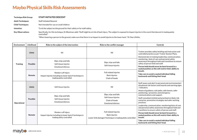| <b>Techniaue Risk Group:</b> | <b>STAFF INITIATED DESCENT</b>                                                                                                                                                                 |
|------------------------------|------------------------------------------------------------------------------------------------------------------------------------------------------------------------------------------------|
| <b>Adult Techniques:</b>     | <b>Staff Initiated Descent</b>                                                                                                                                                                 |
| <b>Child Techniques:</b>     | Not intended for use on small children                                                                                                                                                         |
| Intention:                   | To sit the subject on the ground for their safety or for staff safety.                                                                                                                         |
| <b>Key Observations:</b>     | Specifically, for this technique, Dr Bleetman adds "Staff might be at risk of back injury. The subject is exposed to impact injuries in the event that descent is inadequately<br>controlled". |

"When lowering a person to the ground, make sure that there is no impact to avoid injuries to the lower back." Dr Stas Lifshitz.

| <b>Environment</b> | Likelihood      | Risks to the subject of the intervention                                                                  | Risks to the conflict manager                                                                              | <b>Controls</b>                                                                                                                                                                                                                                                                                                                                                                                                                                                                                                          |
|--------------------|-----------------|-----------------------------------------------------------------------------------------------------------|------------------------------------------------------------------------------------------------------------|--------------------------------------------------------------------------------------------------------------------------------------------------------------------------------------------------------------------------------------------------------------------------------------------------------------------------------------------------------------------------------------------------------------------------------------------------------------------------------------------------------------------------|
| <b>Training</b>    | <b>Likely</b>   | Nil                                                                                                       | Nil                                                                                                        | Trainer provides safety briefing and instruction and<br>controlled practice as per Trainer Session Plans.<br>Demonstrate in training leadership, communication,<br>monitoring / duty of care and personal safety<br>awareness throughout hold and transitions to ensure<br>safety of person held and staff.<br>Person held should never be bent forward in a<br>seated position as this will restrict their ability to<br>breath.<br>Take care to avoid a seated individual falling<br>backwards and hitting their head. |
|                    | <b>Possible</b> | Slips, trips and falls<br>Soft tissue injuries<br><b>Emotional distress</b>                               | Slips, trips and falls<br>Soft tissue injuries                                                             |                                                                                                                                                                                                                                                                                                                                                                                                                                                                                                                          |
|                    | Remote          | Rotator cuff injury<br>Impact injuries including to lower back if technique is<br>inadequately controlled | Fall related injuries<br><b>Back injuries</b><br>Clash of heads                                            |                                                                                                                                                                                                                                                                                                                                                                                                                                                                                                                          |
| Operational        | <b>Likely</b>   | Soft tissue injuries                                                                                      | Nil                                                                                                        | Staff aware and alert to personal and environmental /<br>situational risk factors and hazards and warning signs<br>/indicators.<br>Aware of guidance, exit paths, safe havens, safer                                                                                                                                                                                                                                                                                                                                     |
|                    | <b>Possible</b> | Slips, trips and falls<br>Soft tissue injuries<br><b>Emotional distress</b>                               | Slips, trips and falls<br>Soft tissue injuries<br>Clash of heads<br><b>Emotional distress</b>              | positioning / proxemics and emergency<br>communications and support.<br>Staff consulted, briefed and practised on likely risk<br>scenarios, preventive strategies and safer working<br>practices.                                                                                                                                                                                                                                                                                                                        |
|                    | Remote          | Rotator cuff injury<br>Impact injuries including to lower back if technique is<br>inadequately controlled | Fall related injuries<br><b>Back injuries</b><br>Lower limb damage if technique is inadequately controlled | Leadership, communication, monitoring/duty of care<br>and personal safety awareness throughout hold and<br>transitions to ensure safety of person and staff.<br>Person held should never be bent forward in a<br>seated position as this will restrict their ability to<br>breath.<br>Take care to avoid a seated individual falling<br>backwards and hitting their head.                                                                                                                                                |

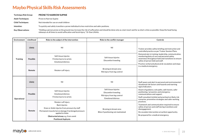| Technique Risk Group:    | <b>PRONE TO NARROW SUPINE</b>                                                                     |
|--------------------------|---------------------------------------------------------------------------------------------------|
| <b>Adult Techniques:</b> | Prone to Narrow Supine                                                                            |
| <b>Child Techniques:</b> | Not intended for use on small children                                                            |
| Intention:               | To quickly and safely transition a prone individual to less restrictive and safer positions.      |
| $1/\sqrt{N}$             | "Holding a norson propo on the ground movingresses the righ of suffection and should be depe only |

Key Observations: "Holding a person prone on the ground may increase the risk of suffocation and should be done only as a last resort and for as short a time as possible. Keep the head facing sideways at all times to avoid suffocation and facial injury." Dr Stas Lifshitz.

| <b>Environment</b> | Likelihood      | Risks to the subject of the intervention                                                                                                                                                                                                   | Risks to the conflict manager                                                                           | <b>Controls</b>                                                                                                                                                                                                                                                                                                                                                                               |
|--------------------|-----------------|--------------------------------------------------------------------------------------------------------------------------------------------------------------------------------------------------------------------------------------------|---------------------------------------------------------------------------------------------------------|-----------------------------------------------------------------------------------------------------------------------------------------------------------------------------------------------------------------------------------------------------------------------------------------------------------------------------------------------------------------------------------------------|
| <b>Training</b>    | Likely          | Nil                                                                                                                                                                                                                                        | Nil                                                                                                     | Trainer provides safety briefing and instruction and<br>controlled practice as per Trainer Session Plans.<br>Demonstrate in training; leadership, communication,<br>monitoring/duty of care and personal safety<br>awareness throughout hold and transitions to ensure<br>safety of person held and staff.<br>Practice verbal and physical de-escalation and steps<br>in a medical emergency. |
|                    | <b>Possible</b> | Soft tissue injuries<br>Friction burns to wrists<br><b>Emotional distress</b>                                                                                                                                                              | Soft tissue injuries<br>Discomfort kneeling                                                             |                                                                                                                                                                                                                                                                                                                                                                                               |
|                    | Remote          | Rotator cuff injury                                                                                                                                                                                                                        | Bruising to breast area<br>Rib injury from leg control                                                  |                                                                                                                                                                                                                                                                                                                                                                                               |
| Operational        | Likely          | Nil                                                                                                                                                                                                                                        | Nil                                                                                                     | Staff aware and alert to personal and environmental /<br>situational risk factors and hazards and warning<br>signs/indicators.<br>Aware of guidance, exit paths, safe havens, safer<br>positioning / proxemics and emergency<br>communications and support.<br>Staff consulted, briefed and practised on likely risk<br>scenarios, preventive strategies and safer working                    |
|                    | <b>Possible</b> | Soft tissue injuries<br><b>Emotional distress</b><br>Friction burns to wrists                                                                                                                                                              | Soft tissue injuries<br>Discomfort kneeling<br>Rib injury from leg control<br><b>Emotional distress</b> |                                                                                                                                                                                                                                                                                                                                                                                               |
|                    | Remote          | Rotator cuff injury<br><b>Back injuries</b><br>Knee or Ankle injuries from pressure by staff<br>Permanent muscle/nerve damage if prolonged pressure<br>applied to limbs<br>Obstructed airway e.g. from vomit<br><b>Positional Asphyxia</b> | Bruising to breast area<br>Bites if positioning not maintained                                          | practices.<br>Teamwork and communication required to ensure<br>safety of person and staff during transitions and<br>disengagement.<br>De-escalate intervention at earliest opportunity.<br>Be prepared for a medical emergency.                                                                                                                                                               |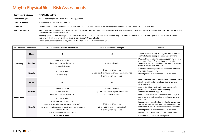| <b>Techniaue Risk Group:</b>                                                                                                                                                                                                                                   | <b>PRONE HOLDING</b>                                                                                                                                                                                                                                              |  |
|----------------------------------------------------------------------------------------------------------------------------------------------------------------------------------------------------------------------------------------------------------------|-------------------------------------------------------------------------------------------------------------------------------------------------------------------------------------------------------------------------------------------------------------------|--|
| <b>Adult Techniques:</b>                                                                                                                                                                                                                                       | Prone Leg Management, Prone, Prone Disengagement                                                                                                                                                                                                                  |  |
| <b>Child Techniques:</b>                                                                                                                                                                                                                                       | Not intended for use on small children                                                                                                                                                                                                                            |  |
| Intention:                                                                                                                                                                                                                                                     | To more safely hold a turbulent individual on the ground in a prone position before earliest possible de-escalation/transition to a safer position.                                                                                                               |  |
| Specifically, for this technique, Dr Bleetman adds: "Staff must observe for red flags associated with restraints. General advice in relation to positional asphyxia has been provided<br><b>Key Observations:</b><br>and remains relevant for this skill set." |                                                                                                                                                                                                                                                                   |  |
|                                                                                                                                                                                                                                                                | "Holding a person prone on the ground may increase the risk of suffocation and should be done only as a last resort and for as short a time as possible. Keep the head facing<br>sideways at all times to avoid suffocation and facial injury." Dr Stas Lifshitz. |  |

Dr Parkes cautions that obesity may increase the effects of prone restraint techniques.

| Environment     | Likelihood      | Risks to the subject of the intervention                                                                                                                                                                                                          | Risks to the conflict manager                                                                               | <b>Controls</b>                                                                                                                                                                                                                                                                                                                                                                       |
|-----------------|-----------------|---------------------------------------------------------------------------------------------------------------------------------------------------------------------------------------------------------------------------------------------------|-------------------------------------------------------------------------------------------------------------|---------------------------------------------------------------------------------------------------------------------------------------------------------------------------------------------------------------------------------------------------------------------------------------------------------------------------------------------------------------------------------------|
| <b>Training</b> | Likely          | Nil                                                                                                                                                                                                                                               | Nil                                                                                                         | Trainer provides safety briefing and instruction and<br>controlled practice as per Trainer Session Plans.                                                                                                                                                                                                                                                                             |
|                 | <b>Possible</b> | Soft tissue injuries<br>Friction burns to wrists/arms<br><b>Emotional distress</b>                                                                                                                                                                | Soft tissue injuries                                                                                        | Demonstrate in training; leadership, communication,<br>monitoring / duty of care and personal safety<br>awareness throughout hold and transitions to ensure<br>safety of person held and staff.                                                                                                                                                                                       |
|                 | Remote          | Rotator cuff injury<br>Elbow injury                                                                                                                                                                                                               | Bruising to breast area<br>Bites if positioning and awareness not maintained<br>Rib injury from leg control | Practice verbal and physical de-escalation and steps<br>in a medical emergency.<br>Do not physically control head or elevate head.                                                                                                                                                                                                                                                    |
| Operational     | Likely          | Nil                                                                                                                                                                                                                                               | Nil                                                                                                         | Staff aware and alert to personal and environmental /<br>situational risk factors and hazards and warning<br>signs/indicators.                                                                                                                                                                                                                                                        |
|                 | <b>Possible</b> | Soft tissue injuries<br><b>Emotional distress</b><br>Friction burns to wrists/arms                                                                                                                                                                | Soft tissue injuries<br>Injuries from kicks if legs not controlled<br><b>Emotional distress</b>             | Aware of guidance, exit paths, safe havens, safer<br>positioning / proxemics and emergency<br>communications and support.<br>Staff consulted, briefed and practised on likely risk                                                                                                                                                                                                    |
|                 | Remote          | Rotator cuff injury<br>Back injuries, Elbow injury<br>Knee or Ankle injuries from pressure by staff<br>Permanent muscle/nerve damage if prolonged pressure<br>applied to limbs<br>Obstructed airway e.g. from vomit<br><b>Positional Asphyxia</b> | Bruising to breast area<br>Bites if positioning not maintained<br>Rib injury from leg control               | scenarios, preventive strategies and safer working<br>practices.<br>Leadership, communication, monitoring/duty of care<br>and personal safety awareness throughout hold and<br>transitions to ensure safety of person held and staff.<br>Do not physically control head or elevate head.<br>De-escalate intervention at earliest opportunity.<br>Be prepared for a medical emergency. |

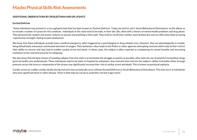### **ADDITIONAL OBSERVATIONS BY DR BLEETMAN AND DR LIFSHITZ**

### **Excited Delirium**

"Some individuals may present in a very agitated state that has been known as 'Excited Delirium'. Today we tend to call it 'Acute Behavioural Disturbance' as this allows us to include a number of causes for this condition. Individuals in this state tend to be male, in their late 20s, often with a history of mental health problems and drug abuse. They demonstrate random and severe violence to anyone and anything in their path. They tend to rip off their clothes, have flushed skin and are often described as having 'superhuman strength', feeling no pain whatsoever.

We know that these individuals actually have a medical emergency, often triggered by a psychological or drug-related crisis. However, they are physiologically in trouble, being dehydrated, exhausted, overheated and short of oxygen. Their behaviour often leads to the Police or other agencies attempting restraint which may further restrict their ability to recover and may lead to sudden cardiac arrest and death. In these cases, the subject is often reported as complaining he cannot breathe and increasing resistance to the restraint just prior to collapsing.

We also know that the best chance of avoiding collapse from this state is to terminate the struggle as quickly as possible, often with the use of powerful tranquilliser drugs given by health care professionals. These individuals need to be taken to hospital by ambulance. Any restraint that restricts the subject's ability to breathe either through pressure across the torso or compromise of the airway may significantly increase their risk of cardiac arrest and death. This is known as positional asphyxia.

Cardiac arrest (or sudden cardiac death) during restraint may occasionally occur without Excited Delirium or Acute Behavioural Disturbance. This may occur in individuals who have significant heart or other disease. There is little that we can do to avoid this rare but tragic event".

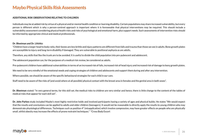### **ADDITIONAL RISK OBSERVATIONS RELATING TO CHILDREN**

Individuals may be at added risk by virtue of a physical and/or mental health condition or learning disability. Certain populations may share increased vulnerability, but every person is different which is why a person-centred approach is important where it is foreseeable that physical interventions may be required. This should include a vulnerability assessment considering physical health risks and risks of psychological and emotional harm, plus support needs. Such assessments of intervention risks should be informed by appropriate clinical and medical professionals.

#### **Dr. Bleetman and Dr. Lifshitz:**

"Children have a larger head to body ratio, their bones are less brittle and injury patterns are different from falls and trauma than those we see in adults. Bone growth plates are susceptible to injury and long-term disability if damaged. They are vulnerable to positional asphyxia as are adults.

Therefore, any skills that flex the trunk are to be avoided. It is useful to divide the child population into pre-pubescent and adolescent.

The adolescent population can, for the purposes of a medical risk review, be considered as adults.

Pre-pubescent children have additional vulnerabilities in terms of an increased risk of falls, increased risk of head injury and increased risk of damage to bony growth plates.

We need to be very mindful of the emotional needs and coping strategies of children and adolescents and support them during and after any intervention.

Where possible, we should be aware of the specific behavioural strategies for each child in our care.

Staff need to be aware of the risks of (and avoid where at all possible) physical contact with the breast area in females and the genital area in both sexes".

**Dr. Bleetman** stated: "In very general terms, for this skill set, the medical risks to children are very similar and hence, there is little change to the content of the tables of medical risks that appear for each skill set".

**Dr. John Parkes** study included Maybo's most highly restrictive holds and involved participants having a variety of ages and physical builds. He states "We would expect that the results and conclusions can be applied to adults and older children (teenagers). It would not be reasonable to directly apply the results to young children who may demonstrate physiological differences. Techniques such as position 4\* (misapplication) which involve compression, may have greater effects on people who are physically small, whilst obesity may increase the effects of prone restraint techniques." \*Cross Body Escort

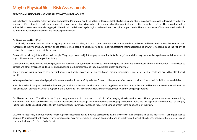### **ADDITIONAL RISK OBSERVATIONS RELATING TO OLDER ADULTS**

Individuals may be at added risk by virtue of a physical and/or mental health condition or learning disability. Certain populations may share increased vulnerability, but every person is different which is why a person-centred approach is important where it is foreseeable that physical interventions may be required. This should include a vulnerability assessment considering physical health risks and risks of psychological and emotional harm, plus support needs. These assessments of intervention risks should be informed by appropriate clinical and medical professionals.

#### **Dr. Bleetman and Dr. Lifshitz:**

"The elderly represent another vulnerable group of service users. They will often have a number of significant medical problems and be on medications that render them vulnerable to injury during any conflict or use of force. Their cognitive ability may also be impaired, affecting their understanding of what is happening and their ability to control their responses and their behaviour.

Bones will be brittle, joints stiff and skin fragile. They might have had joint surgery or joint implants. Bone, joints and skin may become damaged even with low levels of physical intervention, causing serious injury.

Older adults are likely to have reduced physiological reserve; that is, they are less able to tolerate the physical demands of conflict or physical intervention. This can lead to cardiac and other emergencies. Their vision and hearing may be impaired, and they may be less steady on their feet.

Their response to injury may be adversely influenced by diabetes, blood vessel disease, blood-thinning medications, long term use of steroids and drugs that affect heart function.

Where possible, behavioural and physical interventions should be carefully selected for each older person, after careful consideration of their individual vulnerabilities.

Special care should be given to the shoulder joint, to ameliorate the risk of dislocation. Minimising the external rotation of the arm and backwards extension can lower the risk of shoulder dislocation, which is highest in the elderly and service users with low muscle mass, hyper-flexibility and joint problems".

**Dr. Bleetman** stated: "The skills in the Maybo programme are also provided to clinical staff managing elderly service users. The programme focusses on containing movements with 'hooks and cradles' and creating boundaries that interrupt movement rather than gripping and forceful holds and this approach should reduce risk of injury to frail individuals. Specific benefits of such methods include lowering arousal and reducing likelihood of skin tears, bone and joint injuries".

**Dr. John Parkes** study included Maybo's most highly restrictive holds and involved participants having a variety of ages and physical builds. He states, "Techniques such as position 4\* (misapplication) which involve compression, may have greater effects on people who are physically small, whilst obesity may increase the effects of prone restraint techniques". \*Cross Body Escort